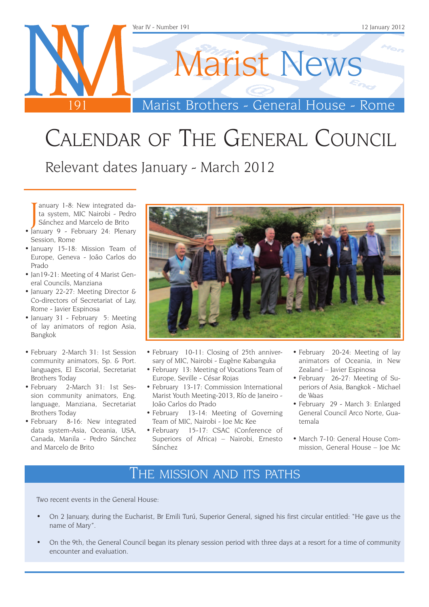

# Calendar of The General Council

Relevant dates January - March 2012

anuary 1-8: New integrated da-<br>ta system, MIC Nairobi - Pedro<br>Sánchez and Marcelo de Brito<br>January 9 - February 24: Plenary ta system, MIC Nairobi - Pedro Sánchez and Marcelo de Brito

- January 9 February 24: Plenary Session, Rome
- • January 15-18: Mission Team of Europe, Geneva - João Carlos do Prado
- Jan19-21: Meeting of 4 Marist General Councils, Manziana
- January 22-27: Meeting Director & Co-directors of Secretariat of Lay, Rome - Javier Espinosa
- January 31 February 5: Meeting of lay animators of region Asia, Bangkok
- February 2-March 31: 1st Session community animators, Sp. & Port. languages, El Escorial, Secretariat Brothers Today
- February 2-March 31: 1st Session community animators, Eng. language, Manziana, Secretariat Brothers Today
- February 8-16: New integrated data system-Asia, Oceania, USA, Canada, Manila - Pedro Sánchez and Marcelo de Brito



- February 10-11: Closing of 25th anniversary of MIC, Nairobi - Eugène Kabanguka
- February 13: Meeting of Vocations Team of Europe, Seville - César Rojas
- February 13-17: Commission International Marist Youth Meeting-2013, Río de Janeiro - João Carlos do Prado
- February 13-14: Meeting of Governing Team of MIC, Nairobi - Joe Mc Kee
- February 15-17: CSAC (Conference of Superiors of Africa) – Nairobi, Ernesto Sánchez
- February 20-24: Meeting of lay animators of Oceania, in New Zealand – Javier Espinosa
- February 26-27: Meeting of Superiors of Asia, Bangkok - Michael de Waas
- • February 29 March 3: Enlarged General Council Arco Norte, Guatemala
- March 7-10: General House Commission, General House – Joe Mc

### The mission and its paths

Two recent events in the General House:

- On 2 January, during the Eucharist, Br Emili Turú, Superior General, signed his first circular entitled: "He gave us the name of Mary".
- On the 9th, the General Council began its plenary session period with three days at a resort for a time of community encounter and evaluation.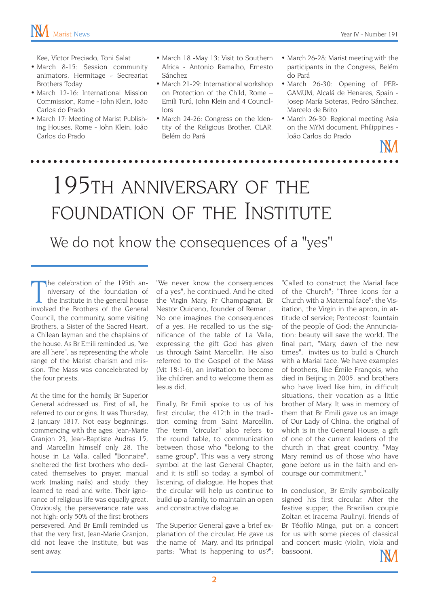Kee, Víctor Preciado, Toni Salat

- March 8-15: Session community animators, Hermitage - Secreariat Brothers Today
- March 12-16: International Mission Commission, Rome - John Klein, João Carlos do Prado
- March 17: Meeting of Marist Publishing Houses, Rome - John Klein, João Carlos do Prado
- March 18 -May 13: Visit to Southern Africa - Antonio Ramalho, Ernesto Sánchez
- March 21-29: International workshop on Protection of the Child, Rome – Emili Turú, John Klein and 4 Councillors
- March 24-26: Congress on the Identity of the Religious Brother. CLAR, Belém do Pará
- March 26-28: Marist meeting with the participants in the Congress, Belém do Pará
- March 26-30: Opening of PER-GAMUM, Alcalá de Henares, Spain - Josep María Soteras, Pedro Sánchez, Marcelo de Brito
- March 26-30: Regional meeting Asia on the MYM document, Philippines - João Carlos do Prado

 $\frac{1}{2}$ 

# 195th anniversary of the FOUNDATION OF THE INSTITUTE

We do not know the consequences of a "yes"

The celebration of the 195th an-<br>niversary of the foundation of<br>the Institute in the general house<br>involved the Brothers of the General he celebration of the 195th anniversary of the foundation of the Institute in the general house Council, the community, some visiting Brothers, a Sister of the Sacred Heart, a Chilean layman and the chaplains of the house. As Br Emili reminded us, "we are all here", as representing the whole range of the Marist charism and mission. The Mass was concelebrated by the four priests.

At the time for the homily, Br Superior General addressed us. First of all, he referred to our origins. It was Thursday, 2 January 1817. Not easy beginnings, commencing with the ages: Jean-Marie Granjon 23, Jean-Baptiste Audras 15, and Marcellin himself only 28. The house in La Valla, called "Bonnaire", sheltered the first brothers who dedicated themselves to prayer, manual work (making nails) and study: they learned to read and write. Their ignorance of religious life was equally great. Obviously, the perseverance rate was not high: only 50% of the first brothers persevered. And Br Emili reminded us that the very first, Jean-Marie Granion, did not leave the Institute, but was sent away.

"We never know the consequences of a yes", he continued. And he cited the Virgin Mary, Fr Champagnat, Br Nestor Quiceno, founder of Remar… No one imagines the consequences of a yes. He recalled to us the significance of the table of La Valla, expressing the gift God has given us through Saint Marcellin. He also referred to the Gospel of the Mass (Mt 18:1-6), an invitation to become like children and to welcome them as Jesus did.

Finally, Br Emili spoke to us of his first circular, the 412th in the tradition coming from Saint Marcellin. The term "circular" also refers to the round table, to communication between those who "belong to the same group". This was a very strong symbol at the last General Chapter, and it is still so today, a symbol of listening, of dialogue. He hopes that the circular will help us continue to build up a family, to maintain an open and constructive dialogue.

The Superior General gave a brief explanation of the circular, He gave us the name of Mary, and its principal parts: "What is happening to us?";

"Called to construct the Marial face of the Church"; "Three icons for a Church with a Maternal face": the Visitation, the Virgin in the apron, in attitude of service; Pentecost: fountain of the people of God; the Annunciation: beauty will save the world. The final part, "Mary, dawn of the new times", invites us to build a Church with a Marial face. We have examples of brothers, like Émile François, who died in Beijing in 2005, and brothers who have lived like him, in difficult situations, their vocation as a little brother of Mary. It was in memory of them that Br Emili gave us an image of Our Lady of China, the original of which is in the General House, a gift of one of the current leaders of the church in that great country. "May Mary remind us of those who have gone before us in the faith and encourage our commitment."

In conclusion, Br Emily symbolically signed his first circular. After the festive supper, the Brazilian couple Zoltan et Iracema Paulinyi, friends of Br Téofilo Minga, put on a concert for us with some pieces of classical and concert music (violin, viola and bassoon).

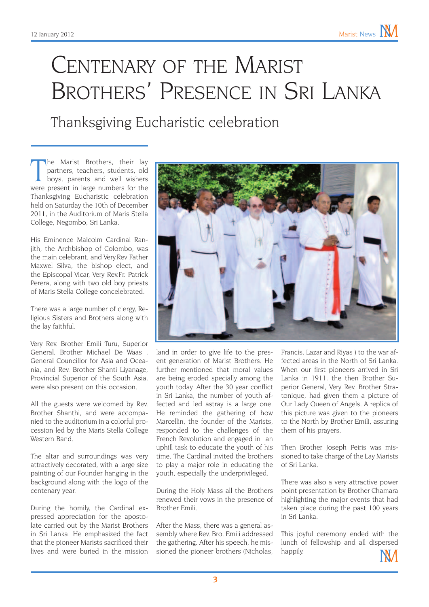## CENTENARY OF THE MARIST Brothers' Presence in Sri Lanka

Thanksgiving Eucharistic celebration

The Marist Brothers, their lay partners, teachers, students, old boys, parents and well wishers were present in large numbers for the he Marist Brothers, their lay partners, teachers, students, old boys, parents and well wishers Thanksgiving Eucharistic celebration held on Saturday the 10th of December 2011, in the Auditorium of Maris Stella College, Negombo, Sri Lanka.

His Eminence Malcolm Cardinal Ranjith, the Archbishop of Colombo, was the main celebrant, and Very.Rev Father Maxwel Silva, the bishop elect, and the Episcopal Vicar, Very Rev.Fr. Patrick Perera, along with two old boy priests of Maris Stella College concelebrated.

There was a large number of clergy, Religious Sisters and Brothers along with the lay faithful.

Very Rev. Brother Emili Turu, Superior General, Brother Michael De Waas General Councillor for Asia and Oceania, and Rev. Brother Shanti Liyanage, Provincial Superior of the South Asia, were also present on this occasion.

All the guests were welcomed by Rev. Brother Shanthi, and were accompanied to the auditorium in a colorful procession led by the Maris Stella College Western Band.

The altar and surroundings was very attractively decorated, with a large size painting of our Founder hanging in the background along with the logo of the centenary year.

During the homily, the Cardinal expressed appreciation for the apostolate carried out by the Marist Brothers in Sri Lanka. He emphasized the fact that the pioneer Marists sacrificed their lives and were buried in the mission



land in order to give life to the present generation of Marist Brothers. He further mentioned that moral values are being eroded specially among the youth today. After the 30 year conflict in Sri Lanka, the number of youth affected and led astray is a large one. He reminded the gathering of how Marcellin, the founder of the Marists, responded to the challenges of the French Revolution and engaged in an uphill task to educate the youth of his time. The Cardinal invited the brothers to play a major role in educating the youth, especially the underprivileged.

During the Holy Mass all the Brothers renewed their vows in the presence of Brother Emili.

After the Mass, there was a general assembly where Rev. Bro. Emili addressed the gathering. After his speech, he missioned the pioneer brothers (Nicholas,

Francis, Lazar and Riyas ) to the war affected areas in the North of Sri Lanka. When our first pioneers arrived in Sri Lanka in 1911, the then Brother Superior General, Very Rev. Brother Stratonique, had given them a picture of Our Lady Queen of Angels. A replica of this picture was given to the pioneers to the North by Brother Emili, assuring them of his prayers.

Then Brother Joseph Peiris was missioned to take charge of the Lay Marists of Sri Lanka.

There was also a very attractive power point presentation by Brother Chamara highlighting the major events that had taken place during the past 100 years in Sri Lanka.

This joyful ceremony ended with the lunch of fellowship and all dispersed happily.